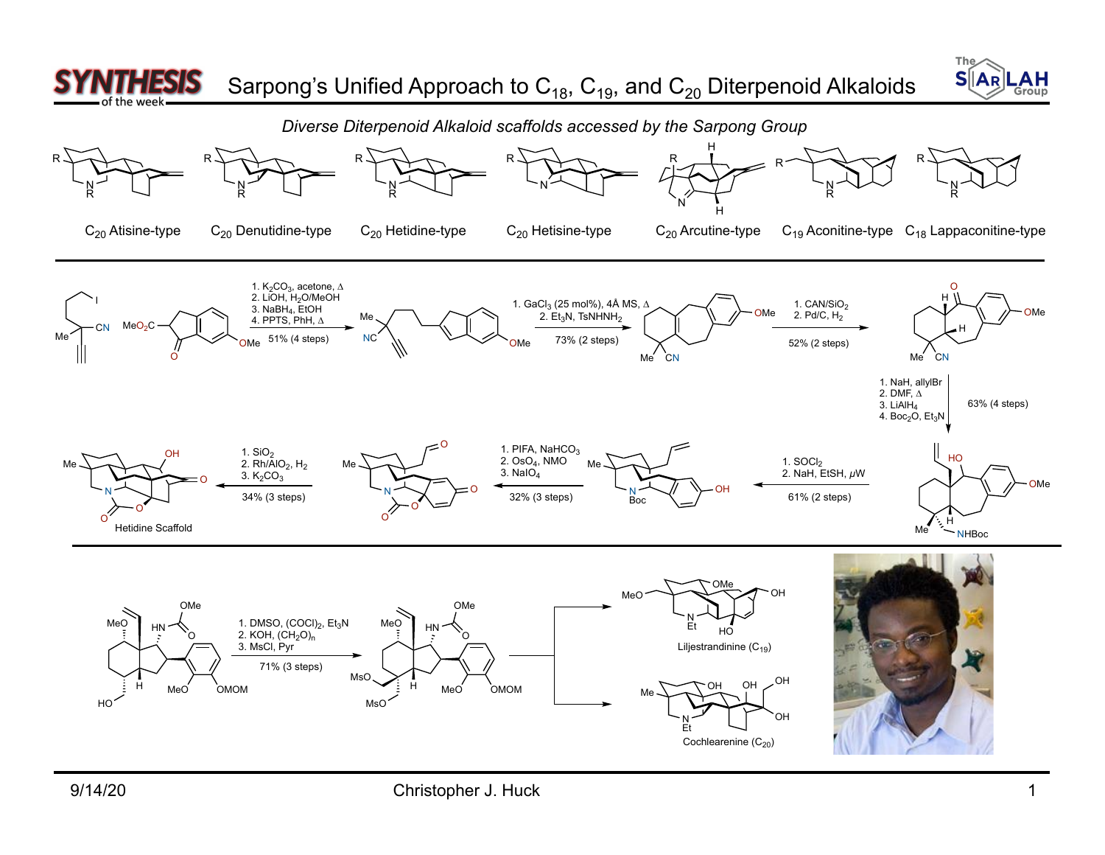



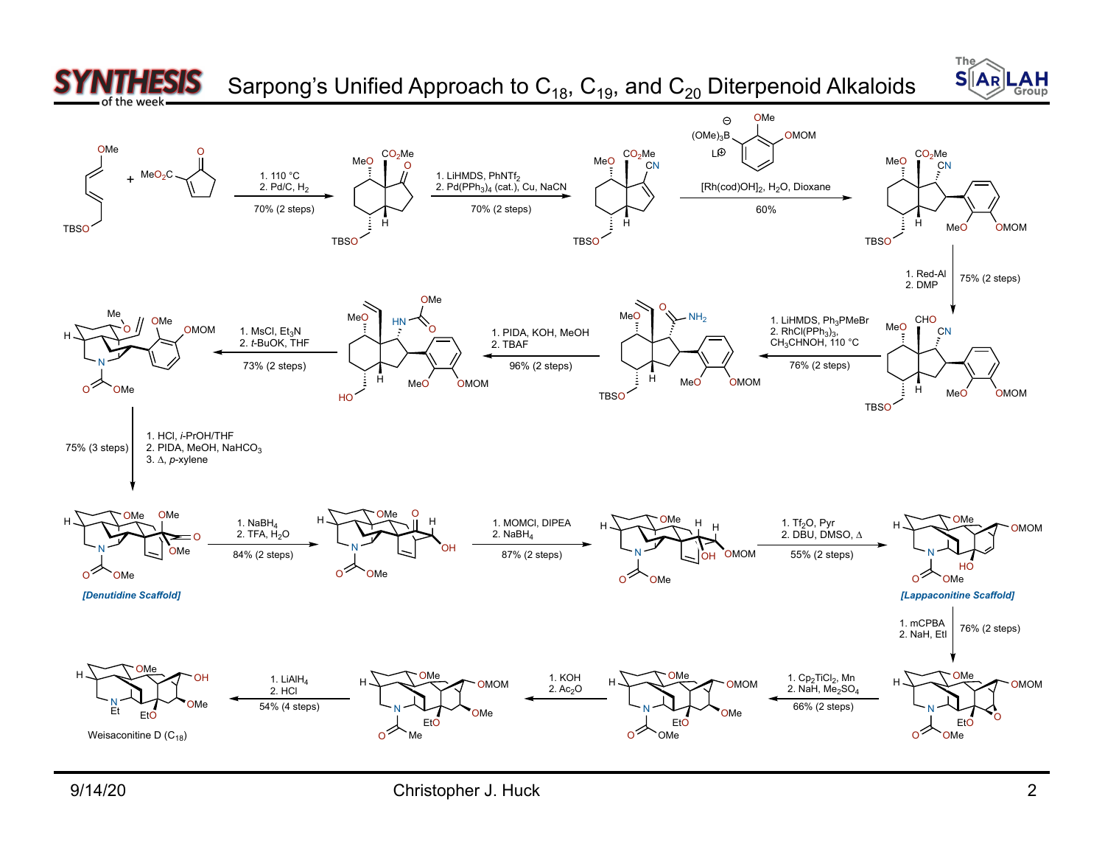